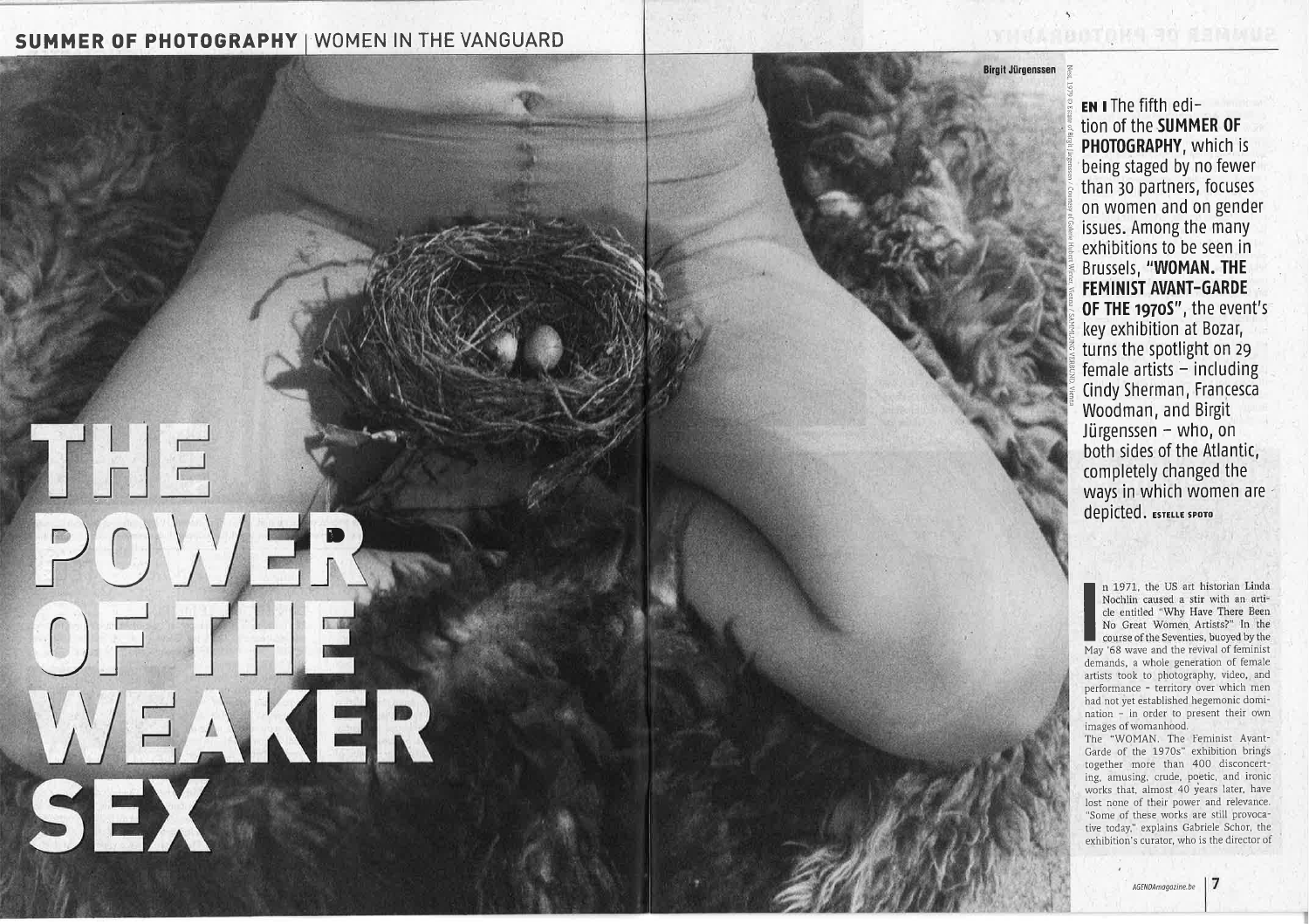# SUMMER OF PHOTOGRAPHY WOMEN IN THE VANGUARD

# **THE**  $P()$  $0 = 7 - 1$ WEAKER

EN I The fifth edition of the **SUMMER OF** PHOTOGRAPHY, which is being staged by no fewer than 30 partners, focuses on women and on gender issues. Among the many exhibitions to be seen in Brussels, "WOMAN. THE **FEMINIST AVANT-GARDE** OF THE 1970S", the event's key exhibition at Bozar, turns the spotlight on 29 female artists  $-$  including Cindy Sherman, Francesca Woodman, and Birgit Jürgenssen - who, on both sides of the Atlantic, completely changed the ways in which women are depicted. ESTELLE SPOTO

**Birgit Jürgenssen** 

n 1971, the US art historian Linda Nochlin caused a stir with an article entitled "Why Have There Been No Great Women Artists?" In the course of the Seventies, buoyed by the May '68 wave and the revival of feminist demands, a whole generation of female artists took to photography, video, and performance - territory over which men had not yet established hegemonic domination - in order to present their own images of womanhood.

The "WOMAN. The Feminist Avant-Garde of the 1970s" exhibition brings together more than 400 disconcerting, amusing, crude, poetic, and ironic works that, almost 40 years later, have lost none of their power and relevance. "Some of these works are still provocative today," explains Gabriele Schor, the exhibition's curator, who is the director of